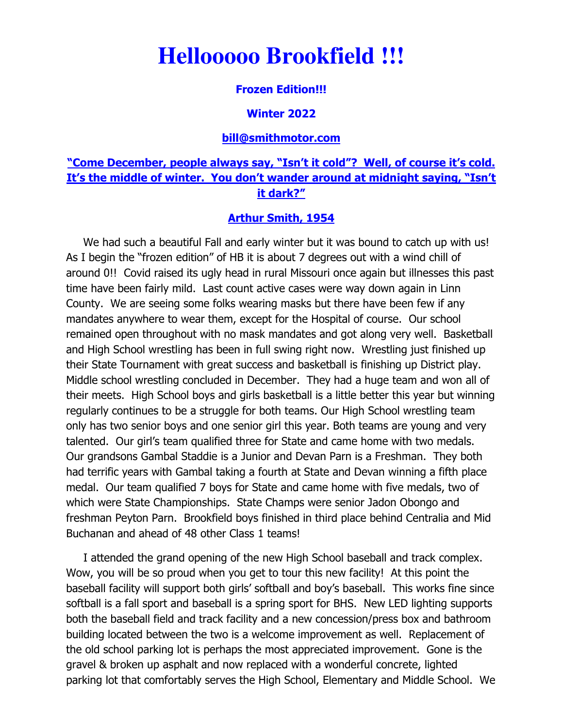# **Hellooooo Brookfield !!!**

### **Frozen Edition!!!**

#### **Winter 2022**

#### **bill@smithmotor.com**

## **"Come December, people always say, "Isn't it cold"? Well, of course it's cold. It's the middle of winter. You don't wander around at midnight saying, "Isn't it dark?"**

#### **Arthur Smith, 1954**

We had such a beautiful Fall and early winter but it was bound to catch up with us! As I begin the "frozen edition" of HB it is about 7 degrees out with a wind chill of around 0!! Covid raised its ugly head in rural Missouri once again but illnesses this past time have been fairly mild. Last count active cases were way down again in Linn County. We are seeing some folks wearing masks but there have been few if any mandates anywhere to wear them, except for the Hospital of course. Our school remained open throughout with no mask mandates and got along very well. Basketball and High School wrestling has been in full swing right now. Wrestling just finished up their State Tournament with great success and basketball is finishing up District play. Middle school wrestling concluded in December. They had a huge team and won all of their meets. High School boys and girls basketball is a little better this year but winning regularly continues to be a struggle for both teams. Our High School wrestling team only has two senior boys and one senior girl this year. Both teams are young and very talented. Our girl's team qualified three for State and came home with two medals. Our grandsons Gambal Staddie is a Junior and Devan Parn is a Freshman. They both had terrific years with Gambal taking a fourth at State and Devan winning a fifth place medal. Our team qualified 7 boys for State and came home with five medals, two of which were State Championships. State Champs were senior Jadon Obongo and freshman Peyton Parn. Brookfield boys finished in third place behind Centralia and Mid Buchanan and ahead of 48 other Class 1 teams!

 I attended the grand opening of the new High School baseball and track complex. Wow, you will be so proud when you get to tour this new facility! At this point the baseball facility will support both girls' softball and boy's baseball. This works fine since softball is a fall sport and baseball is a spring sport for BHS. New LED lighting supports both the baseball field and track facility and a new concession/press box and bathroom building located between the two is a welcome improvement as well. Replacement of the old school parking lot is perhaps the most appreciated improvement. Gone is the gravel & broken up asphalt and now replaced with a wonderful concrete, lighted parking lot that comfortably serves the High School, Elementary and Middle School. We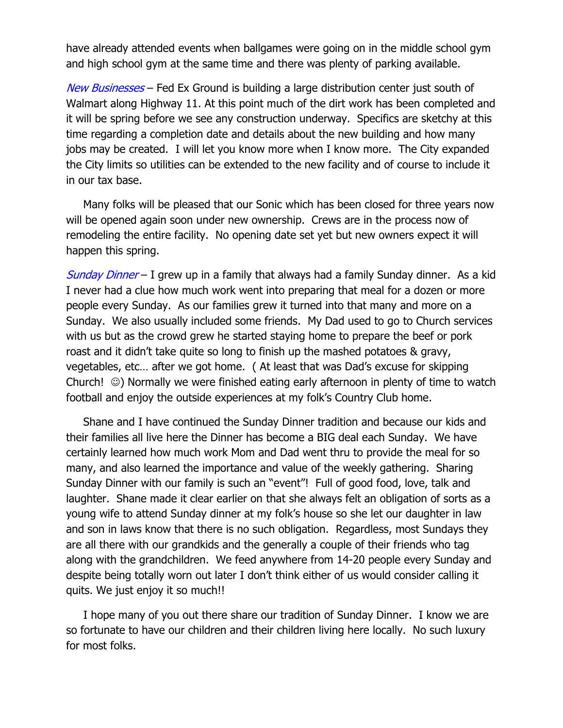have already attended events when ballgames were going on in the middle school gym and high school gym at the same time and there was plenty of parking available.

New Businesses – Fed Ex Ground is building a large distribution center just south of Walmart along Highway 11. At this point much of the dirt work has been completed and it will be spring before we see any construction underway. Specifics are sketchy at this time regarding a completion date and details about the new building and how many jobs may be created. I will let you know more when I know more. The City expanded the City limits so utilities can be extended to the new facility and of course to include it in our tax base.

 Many folks will be pleased that our Sonic which has been closed for three years now will be opened again soon under new ownership. Crews are in the process now of remodeling the entire facility. No opening date set yet but new owners expect it will happen this spring.

Sunday Dinner – I grew up in a family that always had a family Sunday dinner. As a kid I never had a clue how much work went into preparing that meal for a dozen or more people every Sunday. As our families grew it turned into that many and more on a Sunday. We also usually included some friends. My Dad used to go to Church services with us but as the crowd grew he started staying home to prepare the beef or pork roast and it didn't take quite so long to finish up the mashed potatoes & gravy, vegetables, etc… after we got home. ( At least that was Dad's excuse for skipping Church! ☺) Normally we were finished eating early afternoon in plenty of time to watch football and enjoy the outside experiences at my folk's Country Club home.

 Shane and I have continued the Sunday Dinner tradition and because our kids and their families all live here the Dinner has become a BIG deal each Sunday. We have certainly learned how much work Mom and Dad went thru to provide the meal for so many, and also learned the importance and value of the weekly gathering. Sharing Sunday Dinner with our family is such an "event"! Full of good food, love, talk and laughter. Shane made it clear earlier on that she always felt an obligation of sorts as a young wife to attend Sunday dinner at my folk's house so she let our daughter in law and son in laws know that there is no such obligation. Regardless, most Sundays they are all there with our grandkids and the generally a couple of their friends who tag along with the grandchildren. We feed anywhere from 14-20 people every Sunday and despite being totally worn out later I don't think either of us would consider calling it quits. We just enjoy it so much!!

 I hope many of you out there share our tradition of Sunday Dinner. I know we are so fortunate to have our children and their children living here locally. No such luxury for most folks.